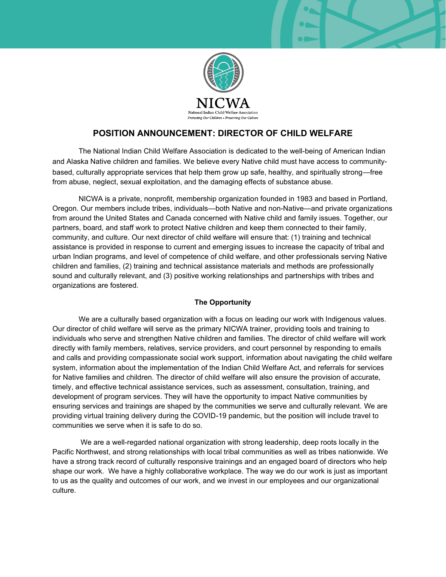

# **POSITION ANNOUNCEMENT: DIRECTOR OF CHILD WELFARE**

The National Indian Child Welfare Association is dedicated to the well-being of American Indian and Alaska Native children and families. We believe every Native child must have access to communitybased, culturally appropriate services that help them grow up safe, healthy, and spiritually strong—free from abuse, neglect, sexual exploitation, and the damaging effects of substance abuse.

NICWA is a private, nonprofit, membership organization founded in 1983 and based in Portland, Oregon. Our members include tribes, individuals—both Native and non-Native—and private organizations from around the United States and Canada concerned with Native child and family issues. Together, our partners, board, and staff work to protect Native children and keep them connected to their family, community, and culture. Our next director of child welfare will ensure that: (1) training and technical assistance is provided in response to current and emerging issues to increase the capacity of tribal and urban Indian programs, and level of competence of child welfare, and other professionals serving Native children and families, (2) training and technical assistance materials and methods are professionally sound and culturally relevant, and (3) positive working relationships and partnerships with tribes and organizations are fostered.

### **The Opportunity**

We are a culturally based organization with a focus on leading our work with Indigenous values. Our director of child welfare will serve as the primary NICWA trainer, providing tools and training to individuals who serve and strengthen Native children and families. The director of child welfare will work directly with family members, relatives, service providers, and court personnel by responding to emails and calls and providing compassionate social work support, information about navigating the child welfare system, information about the implementation of the Indian Child Welfare Act, and referrals for services for Native families and children. The director of child welfare will also ensure the provision of accurate, timely, and effective technical assistance services, such as assessment, consultation, training, and development of program services. They will have the opportunity to impact Native communities by ensuring services and trainings are shaped by the communities we serve and culturally relevant. We are providing virtual training delivery during the COVID-19 pandemic, but the position will include travel to communities we serve when it is safe to do so.

We are a well-regarded national organization with strong leadership, deep roots locally in the Pacific Northwest, and strong relationships with local tribal communities as well as tribes nationwide. We have a strong track record of culturally responsive trainings and an engaged board of directors who help shape our work. We have a highly collaborative workplace. The way we do our work is just as important to us as the quality and outcomes of our work, and we invest in our employees and our organizational culture.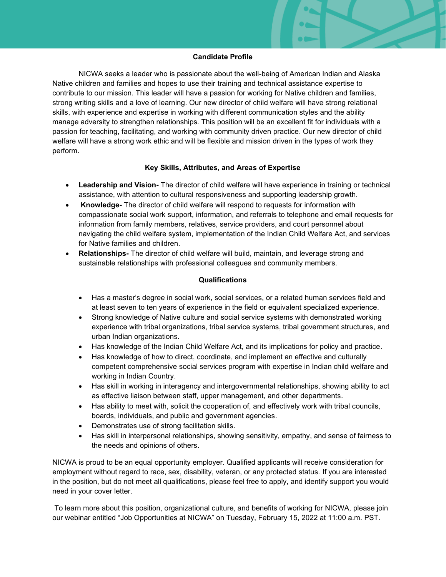#### **Candidate Profile**

NICWA seeks a leader who is passionate about the well-being of American Indian and Alaska Native children and families and hopes to use their training and technical assistance expertise to contribute to our mission. This leader will have a passion for working for Native children and families, strong writing skills and a love of learning. Our new director of child welfare will have strong relational skills, with experience and expertise in working with different communication styles and the ability manage adversity to strengthen relationships. This position will be an excellent fit for individuals with a passion for teaching, facilitating, and working with community driven practice. Our new director of child welfare will have a strong work ethic and will be flexible and mission driven in the types of work they perform.

#### **Key Skills, Attributes, and Areas of Expertise**

- **Leadership and Vision-** The director of child welfare will have experience in training or technical assistance, with attention to cultural responsiveness and supporting leadership growth.
- **Knowledge-** The director of child welfare will respond to requests for information with compassionate social work support, information, and referrals to telephone and email requests for information from family members, relatives, service providers, and court personnel about navigating the child welfare system, implementation of the Indian Child Welfare Act, and services for Native families and children.
- x **Relationships-** The director of child welfare will build, maintain, and leverage strong and sustainable relationships with professional colleagues and community members.

### **Qualifications**

- Has a master's degree in social work, social services, or a related human services field and at least seven to ten years of experience in the field or equivalent specialized experience.
- Strong knowledge of Native culture and social service systems with demonstrated working experience with tribal organizations, tribal service systems, tribal government structures, and urban Indian organizations.
- Has knowledge of the Indian Child Welfare Act, and its implications for policy and practice.
- Has knowledge of how to direct, coordinate, and implement an effective and culturally competent comprehensive social services program with expertise in Indian child welfare and working in Indian Country.
- Has skill in working in interagency and intergovernmental relationships, showing ability to act as effective liaison between staff, upper management, and other departments.
- Has ability to meet with, solicit the cooperation of, and effectively work with tribal councils, boards, individuals, and public and government agencies.
- Demonstrates use of strong facilitation skills.
- Has skill in interpersonal relationships, showing sensitivity, empathy, and sense of fairness to the needs and opinions of others.

NICWA is proud to be an equal opportunity employer. Qualified applicants will receive consideration for employment without regard to race, sex, disability, veteran, or any protected status. If you are interested in the position, but do not meet all qualifications, please feel free to apply, and identify support you would need in your cover letter.

To learn more about this position, organizational culture, and benefits of working for NICWA, please join our webinar entitled "Job Opportunities at NICWA" on Tuesday, February 15, 2022 at 11:00 a.m. PST.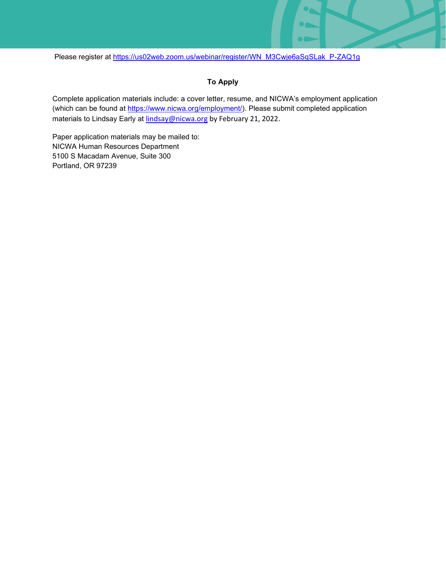Please register at [https://us02web.zoom.us/webinar/register/WN\\_M3Cwje6aSqSLak\\_P-ZAQ1g](https://us02web.zoom.us/webinar/register/WN_M3Cwje6aSqSLak_P-ZAQ1g)

## **To Apply**

Complete application materials include: a cover letter, resume, and NICWA's employment application (which can be found at [https://www.nicwa.org/employment/\)](https://www.nicwa.org/employment/). Please submit completed application materials to Lindsay Early at [lindsay@nicwa.org](mailto:lindsay@nicwa.org) by February 21, 2022.

Paper application materials may be mailed to: NICWA Human Resources Department 5100 S Macadam Avenue, Suite 300 Portland, OR 97239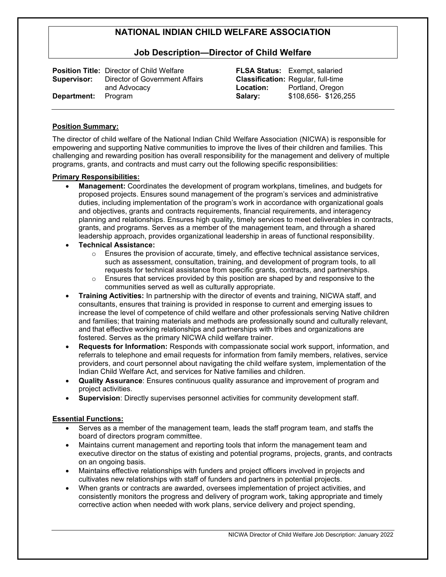## **Job Description²Director of Child Welfare**

|                            | <b>Position Title: Director of Child Welfare</b> |
|----------------------------|--------------------------------------------------|
| Supervisor:                | Director of Government Affairs                   |
|                            | and Advocacy                                     |
| <b>Department:</b> Program |                                                  |

**FLSA Status:** Exempt, salaried **Classification:** Regular, full-time **Location:** Portland, Oregon **Salary:** \$108,656- \$126,255

### **Position Summary:**

The director of child welfare of the National Indian Child Welfare Association (NICWA) is responsible for empowering and supporting Native communities to improve the lives of their children and families. This challenging and rewarding position has overall responsibility for the management and delivery of multiple programs, grants, and contracts and must carry out the following specific responsibilities:

#### **Primary Responsibilities:**

- x **Management:** Coordinates the development of program workplans, timelines, and budgets for proposed projects. Ensures sound management of the program's services and administrative duties, including implementation of the program's work in accordance with organizational goals and objectives, grants and contracts requirements, financial requirements, and interagency planning and relationships. Ensures high quality, timely services to meet deliverables in contracts, grants, and programs. Serves as a member of the management team, and through a shared leadership approach, provides organizational leadership in areas of functional responsibility.
- x **Technical Assistance:**
	- $\circ$  Ensures the provision of accurate, timely, and effective technical assistance services, such as assessment, consultation, training, and development of program tools, to all requests for technical assistance from specific grants, contracts, and partnerships.
	- $\circ$  Ensures that services provided by this position are shaped by and responsive to the communities served as well as culturally appropriate.
- x **Training Activities:** In partnership with the director of events and training, NICWA staff, and consultants, ensures that training is provided in response to current and emerging issues to increase the level of competence of child welfare and other professionals serving Native children and families; that training materials and methods are professionally sound and culturally relevant, and that effective working relationships and partnerships with tribes and organizations are fostered. Serves as the primary NICWA child welfare trainer.
- x **Requests for Information:** Responds with compassionate social work support, information, and referrals to telephone and email requests for information from family members, relatives, service providers, and court personnel about navigating the child welfare system, implementation of the Indian Child Welfare Act, and services for Native families and children.
- **Quality Assurance**: Ensures continuous quality assurance and improvement of program and project activities.
- **Supervision**: Directly supervises personnel activities for community development staff.

#### **Essential Functions:**

- Serves as a member of the management team, leads the staff program team, and staffs the board of directors program committee.
- Maintains current management and reporting tools that inform the management team and executive director on the status of existing and potential programs, projects, grants, and contracts on an ongoing basis.
- Maintains effective relationships with funders and project officers involved in projects and cultivates new relationships with staff of funders and partners in potential projects.
- When grants or contracts are awarded, oversees implementation of project activities, and consistently monitors the progress and delivery of program work, taking appropriate and timely corrective action when needed with work plans, service delivery and project spending,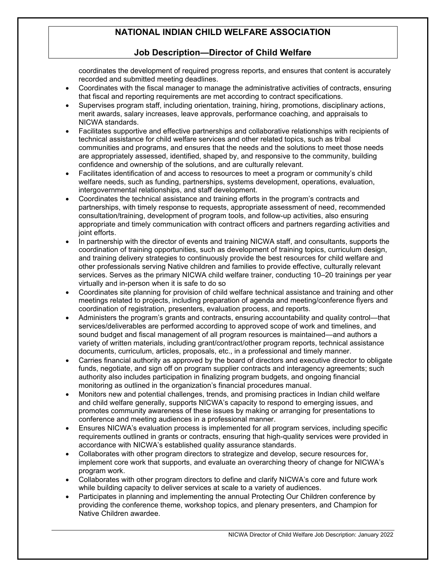## **Job Description²Director of Child Welfare**

coordinates the development of required progress reports, and ensures that content is accurately recorded and submitted meeting deadlines.

- Coordinates with the fiscal manager to manage the administrative activities of contracts, ensuring that fiscal and reporting requirements are met according to contract specifications.
- Supervises program staff, including orientation, training, hiring, promotions, disciplinary actions, merit awards, salary increases, leave approvals, performance coaching, and appraisals to NICWA standards.
- Facilitates supportive and effective partnerships and collaborative relationships with recipients of technical assistance for child welfare services and other related topics, such as tribal communities and programs, and ensures that the needs and the solutions to meet those needs are appropriately assessed, identified, shaped by, and responsive to the community, building confidence and ownership of the solutions, and are culturally relevant.
- Facilitates identification of and access to resources to meet a program or community's child welfare needs, such as funding, partnerships, systems development, operations, evaluation, intergovernmental relationships, and staff development.
- Coordinates the technical assistance and training efforts in the program's contracts and partnerships, with timely response to requests, appropriate assessment of need, recommended consultation/training, development of program tools, and follow-up activities, also ensuring appropriate and timely communication with contract officers and partners regarding activities and joint efforts.
- In partnership with the director of events and training NICWA staff, and consultants, supports the coordination of training opportunities, such as development of training topics, curriculum design, and training delivery strategies to continuously provide the best resources for child welfare and other professionals serving Native children and families to provide effective, culturally relevant services. Serves as the primary NICWA child welfare trainer, conducting 10-20 trainings per year virtually and in-person when it is safe to do so
- Coordinates site planning for provision of child welfare technical assistance and training and other meetings related to projects, including preparation of agenda and meeting/conference flyers and coordination of registration, presenters, evaluation process, and reports.
- Administers the program's grants and contracts, ensuring accountability and quality control—that services/deliverables are performed according to approved scope of work and timelines, and sound budget and fiscal management of all program resources is maintained—and authors a variety of written materials, including grant/contract/other program reports, technical assistance documents, curriculum, articles, proposals, etc., in a professional and timely manner.
- Carries financial authority as approved by the board of directors and executive director to obligate funds, negotiate, and sign off on program supplier contracts and interagency agreements; such authority also includes participation in finalizing program budgets, and ongoing financial monitoring as outlined in the organization's financial procedures manual.
- x Monitors new and potential challenges, trends, and promising practices in Indian child welfare and child welfare generally, supports NICWA's capacity to respond to emerging issues, and promotes community awareness of these issues by making or arranging for presentations to conference and meeting audiences in a professional manner.
- Ensures NICWA's evaluation process is implemented for all program services, including specific requirements outlined in grants or contracts, ensuring that high-quality services were provided in accordance with NICWA's established quality assurance standards.
- Collaborates with other program directors to strategize and develop, secure resources for, implement core work that supports, and evaluate an overarching theory of change for NICWA's program work.
- Collaborates with other program directors to define and clarify NICWA's core and future work while building capacity to deliver services at scale to a variety of audiences.
- Participates in planning and implementing the annual Protecting Our Children conference by providing the conference theme, workshop topics, and plenary presenters, and Champion for Native Children awardee.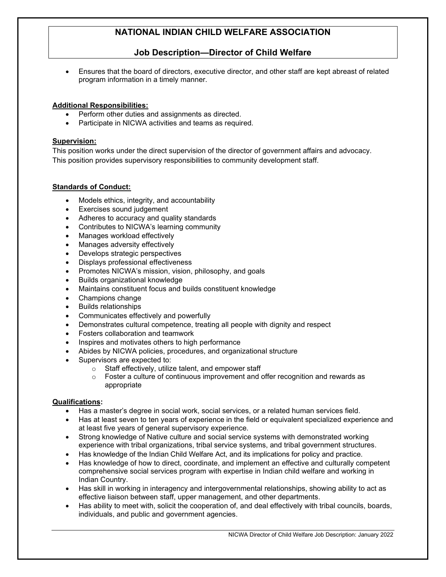# **Job Description²Director of Child Welfare**

Ensures that the board of directors, executive director, and other staff are kept abreast of related program information in a timely manner.

## **Additional Responsibilities:**

- Perform other duties and assignments as directed.
- Participate in NICWA activities and teams as required.

### **Supervision:**

This position works under the direct supervision of the director of government affairs and advocacy. This position provides supervisory responsibilities to community development staff.

## **Standards of Conduct:**

- Models ethics, integrity, and accountability
- Exercises sound judgement
- Adheres to accuracy and quality standards
- Contributes to NICWA's learning community
- Manages workload effectively
- Manages adversity effectively
- Develops strategic perspectives
- Displays professional effectiveness
- Promotes NICWA's mission, vision, philosophy, and goals
- Builds organizational knowledge
- Maintains constituent focus and builds constituent knowledge
- Champions change
- Builds relationships
- Communicates effectively and powerfully
- Demonstrates cultural competence, treating all people with dignity and respect
- Fosters collaboration and teamwork
- Inspires and motivates others to high performance
- Abides by NICWA policies, procedures, and organizational structure
- Supervisors are expected to:
	- o Staff effectively, utilize talent, and empower staff
	- $\circ$  Foster a culture of continuous improvement and offer recognition and rewards as appropriate

## **Qualifications:**

- Has a master's degree in social work, social services, or a related human services field.
- Has at least seven to ten years of experience in the field or equivalent specialized experience and at least five years of general supervisory experience.
- Strong knowledge of Native culture and social service systems with demonstrated working experience with tribal organizations, tribal service systems, and tribal government structures.
- Has knowledge of the Indian Child Welfare Act, and its implications for policy and practice.
- Has knowledge of how to direct, coordinate, and implement an effective and culturally competent comprehensive social services program with expertise in Indian child welfare and working in Indian Country.
- Has skill in working in interagency and intergovernmental relationships, showing ability to act as effective liaison between staff, upper management, and other departments.
- Has ability to meet with, solicit the cooperation of, and deal effectively with tribal councils, boards, individuals, and public and government agencies.

NICWA Director of Child Welfare Job Description: January 2022